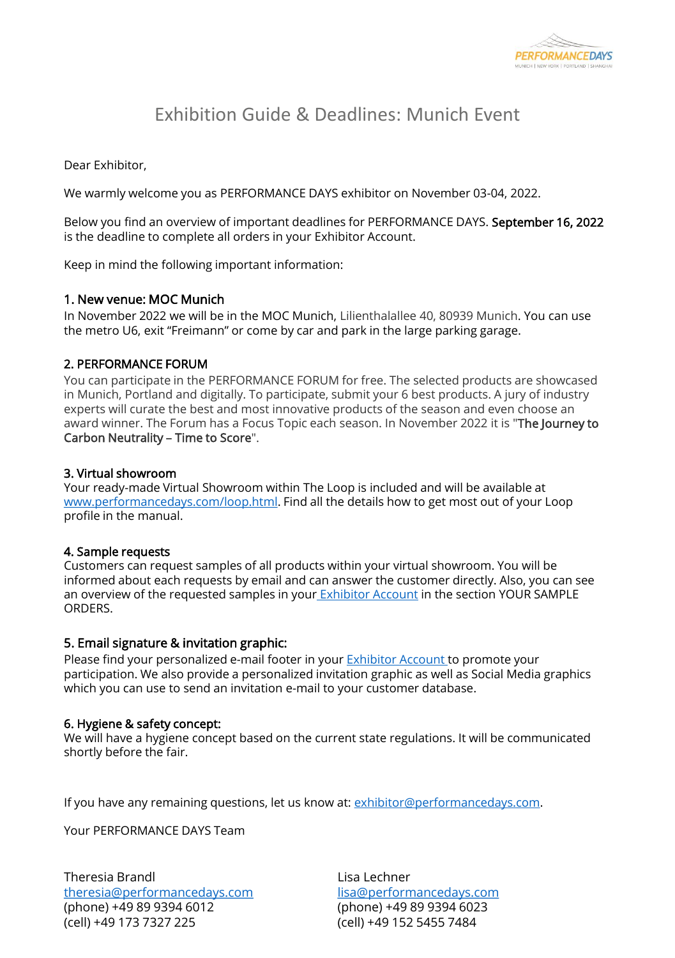

# Exhibition Guide & Deadlines: Munich Event

Dear Exhibitor,

We warmly welcome you as PERFORMANCE DAYS exhibitor on November 03-04, 2022.

Below you find an overview of important deadlines for PERFORMANCE DAYS. September 16, 2022 is the deadline to complete all orders in your Exhibitor Account.

Keep in mind the following important information:

### 1. New venue: MOC Munich

In November 2022 we will be in the MOC Munich, Lilienthalallee 40, 80939 Munich. You can use the metro U6, exit "Freimann" or come by car and park in the large parking garage.

### 2. PERFORMANCE FORUM

You can participate in the PERFORMANCE FORUM for free. The selected products are showcased in Munich, Portland and digitally. To participate, submit your 6 best products. A jury of industry experts will curate the best and most innovative products of the season and even choose an award winner. The Forum has a Focus Topic each season. In November 2022 it is "The Journey to Carbon Neutrality – Time to Score".

### 3. Virtual showroom

Your ready-made Virtual Showroom within The Loop is included and will be available at [www.performancedays.com/loop.html.](http://www.performancedays.com/loop.html) Find all the details how to get most out of your Loop profile in the manual.

## 4. Sample requests

Customers can request samples of all products within your virtual showroom. You will be informed about each requests by email and can answer the customer directly. Also, you can see an overview of the requested samples in your [Exhibitor Account](https://www.performancedays.com/exhibitor-account/exhibitor-account-login.html) in the section YOUR SAMPLE ORDERS.

## 5. Email signature & invitation graphic:

Please find your personalized e-mail footer in your **Exhibitor Account** to promote your participation. We also provide a personalized invitation graphic as well as Social Media graphics which you can use to send an invitation e-mail to your customer database.

#### 6. Hygiene & safety concept:

We will have a hygiene concept based on the current state regulations. It will be communicated shortly before the fair.

If you have any remaining questions, let us know at: [exhibitor@performancedays.com](mailto:exhibitor@performancedays.com).

Your PERFORMANCE DAYS Team

Theresia Brandl [theresia@performancedays.com](mailto:theresia@performancedays.com) (phone) +49 89 9394 6012 (cell) +49 173 7327 225

Lisa Lechner [lisa@performancedays.com](mailto:lisa@performancedays.com) (phone) +49 89 9394 6023 (cell) +49 152 5455 7484